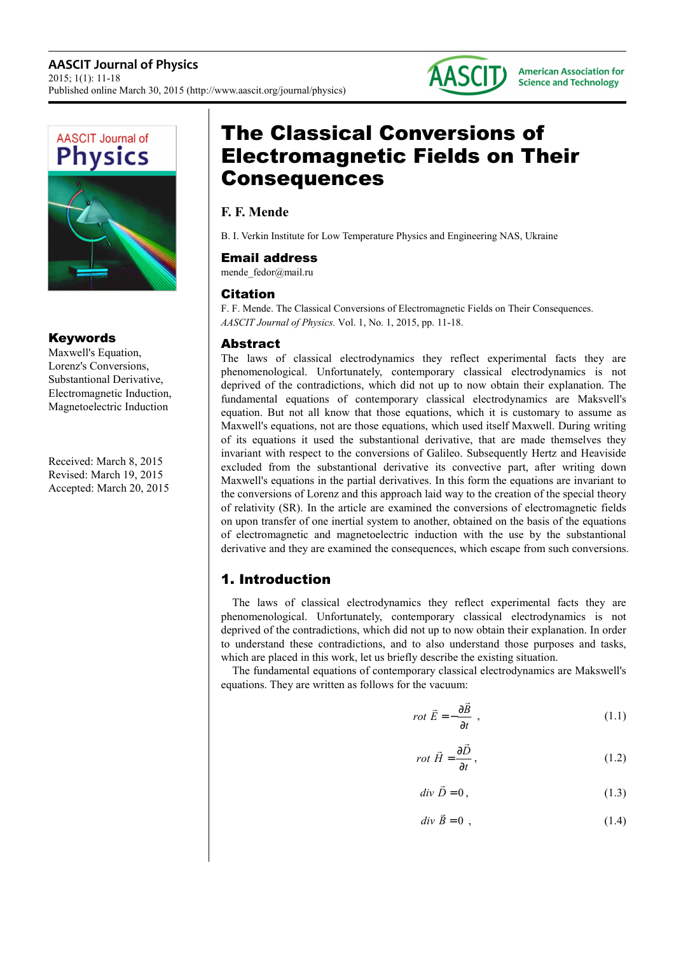

## Keywords

Maxwell's Equation, Lorenz's Conversions, Substantional Derivative, Electromagnetic Induction, Magnetoelectric Induction

Received: March 8, 2015 Revised: March 19, 2015 Accepted: March 20, 2015

# The Classical Conversions of Electromagnetic Fields on Their Consequences

## **F. F. Mende**

B. I. Verkin Institute for Low Temperature Physics and Engineering NAS, Ukraine

## Email address

mende fedor@mail.ru

#### **Citation**

F. F. Mende. The Classical Conversions of Electromagnetic Fields on Their Consequences. *AASCIT Journal of Physics.* Vol. 1, No. 1, 2015, pp. 11-18.

## Abstract

The laws of classical electrodynamics they reflect experimental facts they are phenomenological. Unfortunately, contemporary classical electrodynamics is not deprived of the contradictions, which did not up to now obtain their explanation. The fundamental equations of contemporary classical electrodynamics are Maksvell's equation. But not all know that those equations, which it is customary to assume as Maxwell's equations, not are those equations, which used itself Maxwell. During writing of its equations it used the substantional derivative, that are made themselves they invariant with respect to the conversions of Galileo. Subsequently Hertz and Heaviside excluded from the substantional derivative its convective part, after writing down Maxwell's equations in the partial derivatives. In this form the equations are invariant to the conversions of Lorenz and this approach laid way to the creation of the special theory of relativity (SR). In the article are examined the conversions of electromagnetic fields on upon transfer of one inertial system to another, obtained on the basis of the equations of electromagnetic and magnetoelectric induction with the use by the substantional derivative and they are examined the consequences, which escape from such conversions.

# 1. Introduction

The laws of classical electrodynamics they reflect experimental facts they are phenomenological. Unfortunately, contemporary classical electrodynamics is not deprived of the contradictions, which did not up to now obtain their explanation. In order to understand these contradictions, and to also understand those purposes and tasks, which are placed in this work, let us briefly describe the existing situation.

The fundamental equations of contemporary classical electrodynamics are Makswell's equations. They are written as follows for the vacuum:

$$
rot \vec{E} = -\frac{\partial \vec{B}}{\partial t} , \qquad (1.1)
$$

$$
rot \ \vec{H} = \frac{\partial \vec{D}}{\partial t},\tag{1.2}
$$

$$
div\ \vec{D} = 0, \qquad (1.3)
$$

$$
div \ \vec{B} = 0 \tag{1.4}
$$

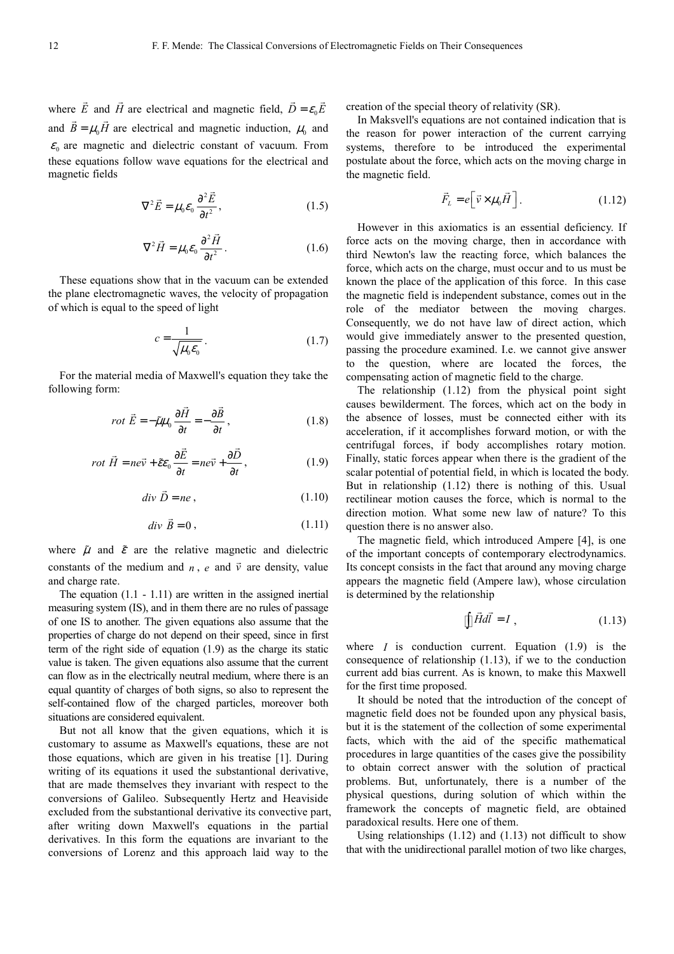where *E*  $\overline{a}$  and *H*  $\overline{a}$ are electrical and magnetic field,  $D = \varepsilon_0 E$  $\overline{a}$ and  $B = \mu_0 H$  are electrical and magnetic induction,  $\mu_0$  and r r  $\varepsilon_0$  are magnetic and dielectric constant of vacuum. From these equations follow wave equations for the electrical and magnetic fields

$$
\nabla^2 \vec{E} = \mu_0 \varepsilon_0 \frac{\partial^2 \vec{E}}{\partial t^2},
$$
 (1.5)

$$
\nabla^2 \vec{H} = \mu_0 \varepsilon_0 \frac{\partial^2 \vec{H}}{\partial t^2}.
$$
 (1.6)

These equations show that in the vacuum can be extended the plane electromagnetic waves, the velocity of propagation of which is equal to the speed of light

$$
c = \frac{1}{\sqrt{\mu_0 \varepsilon_0}}\,. \tag{1.7}
$$

For the material media of Maxwell's equation they take the following form:

$$
rot\ \vec{E} = -\tilde{\mu}\mu_0 \frac{\partial \vec{H}}{\partial t} = -\frac{\partial \vec{B}}{\partial t},\qquad(1.8)
$$

$$
rot \ \vec{H} = ne\vec{v} + \tilde{\varepsilon}\varepsilon_0 \frac{\partial \vec{E}}{\partial t} = ne\vec{v} + \frac{\partial \vec{D}}{\partial t},\tag{1.9}
$$

$$
div \ \vec{D} = ne , \qquad (1.10)
$$

$$
div \ \vec{B} = 0 \,, \tag{1.11}
$$

where  $\tilde{\mu}$  and  $\tilde{\varepsilon}$  are the relative magnetic and dielectric constants of the medium and  $n$ , *e* and  $\vec{v}$  are density, value and charge rate.

The equation  $(1.1 - 1.11)$  are written in the assigned inertial measuring system (IS), and in them there are no rules of passage of one IS to another. The given equations also assume that the properties of charge do not depend on their speed, since in first term of the right side of equation (1.9) as the charge its static value is taken. The given equations also assume that the current can flow as in the electrically neutral medium, where there is an equal quantity of charges of both signs, so also to represent the self-contained flow of the charged particles, moreover both situations are considered equivalent.

But not all know that the given equations, which it is customary to assume as Maxwell's equations, these are not those equations, which are given in his treatise [1]. During writing of its equations it used the substantional derivative, that are made themselves they invariant with respect to the conversions of Galileo. Subsequently Hertz and Heaviside excluded from the substantional derivative its convective part, after writing down Maxwell's equations in the partial derivatives. In this form the equations are invariant to the conversions of Lorenz and this approach laid way to the

creation of the special theory of relativity (SR).

In Maksvell's equations are not contained indication that is the reason for power interaction of the current carrying systems, therefore to be introduced the experimental postulate about the force, which acts on the moving charge in the magnetic field.

$$
\vec{F}_L = e \left[ \vec{v} \times \mu_0 \vec{H} \right]. \tag{1.12}
$$

However in this axiomatics is an essential deficiency. If force acts on the moving charge, then in accordance with third Newton's law the reacting force, which balances the force, which acts on the charge, must occur and to us must be known the place of the application of this force. In this case the magnetic field is independent substance, comes out in the role of the mediator between the moving charges. Consequently, we do not have law of direct action, which would give immediately answer to the presented question, passing the procedure examined. I.e. we cannot give answer to the question, where are located the forces, the compensating action of magnetic field to the charge.

The relationship (1.12) from the physical point sight causes bewilderment. The forces, which act on the body in the absence of losses, must be connected either with its acceleration, if it accomplishes forward motion, or with the centrifugal forces, if body accomplishes rotary motion. Finally, static forces appear when there is the gradient of the scalar potential of potential field, in which is located the body. But in relationship (1.12) there is nothing of this. Usual rectilinear motion causes the force, which is normal to the direction motion. What some new law of nature? To this question there is no answer also.

The magnetic field, which introduced Ampere [4], is one of the important concepts of contemporary electrodynamics. Its concept consists in the fact that around any moving charge appears the magnetic field (Ampere law), whose circulation is determined by the relationship

$$
\iint \vec{H} \cdot d\vec{l} = I , \qquad (1.13)
$$

where  $I$  is conduction current. Equation  $(1.9)$  is the consequence of relationship (1.13), if we to the conduction current add bias current. As is known, to make this Maxwell for the first time proposed.

It should be noted that the introduction of the concept of magnetic field does not be founded upon any physical basis, but it is the statement of the collection of some experimental facts, which with the aid of the specific mathematical procedures in large quantities of the cases give the possibility to obtain correct answer with the solution of practical problems. But, unfortunately, there is a number of the physical questions, during solution of which within the framework the concepts of magnetic field, are obtained paradoxical results. Here one of them.

Using relationships  $(1.12)$  and  $(1.13)$  not difficult to show that with the unidirectional parallel motion of two like charges,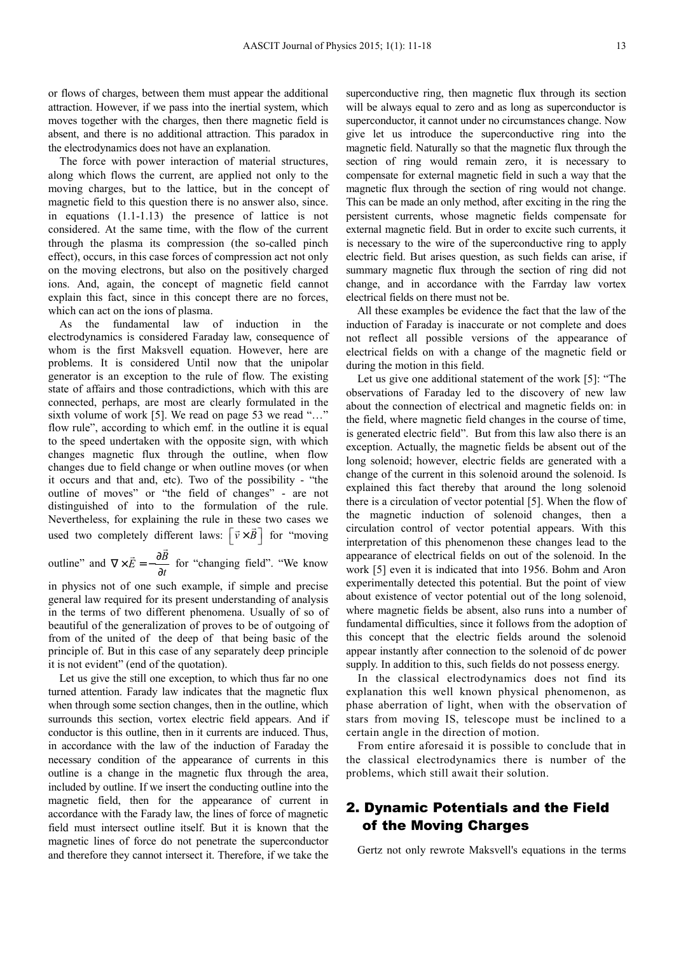or flows of charges, between them must appear the additional attraction. However, if we pass into the inertial system, which moves together with the charges, then there magnetic field is absent, and there is no additional attraction. This paradox in the electrodynamics does not have an explanation.

The force with power interaction of material structures, along which flows the current, are applied not only to the moving charges, but to the lattice, but in the concept of magnetic field to this question there is no answer also, since. in equations (1.1-1.13) the presence of lattice is not considered. At the same time, with the flow of the current through the plasma its compression (the so-called pinch effect), occurs, in this case forces of compression act not only on the moving electrons, but also on the positively charged ions. And, again, the concept of magnetic field cannot explain this fact, since in this concept there are no forces, which can act on the ions of plasma.

As the fundamental law of induction in the electrodynamics is considered Faraday law, consequence of whom is the first Maksvell equation. However, here are problems. It is considered Until now that the unipolar generator is an exception to the rule of flow. The existing state of affairs and those contradictions, which with this are connected, perhaps, are most are clearly formulated in the sixth volume of work [5]. We read on page 53 we read "..." flow rule", according to which emf. in the outline it is equal to the speed undertaken with the opposite sign, with which changes magnetic flux through the outline, when flow changes due to field change or when outline moves (or when it occurs and that and, etc). Two of the possibility - "the outline of moves" or "the field of changes" - are not distinguished of into to the formulation of the rule. Nevertheless, for explaining the rule in these two cases we used two completely different laws:  $\begin{bmatrix} \vec{v} \times \vec{B} \end{bmatrix}$  for "moving"  $\overline{a}$ 

outline" and  $\nabla \times \vec{E} = -\frac{\partial B}{\partial t}$  $\nabla \times \vec{E} = -\frac{\partial \vec{E}}{\partial \vec{E}}$  $\overline{a}$ for "changing field". "We know

in physics not of one such example, if simple and precise general law required for its present understanding of analysis in the terms of two different phenomena. Usually of so of beautiful of the generalization of proves to be of outgoing of from of the united of the deep of that being basic of the principle of. But in this case of any separately deep principle it is not evident" (end of the quotation).

Let us give the still one exception, to which thus far no one turned attention. Farady law indicates that the magnetic flux when through some section changes, then in the outline, which surrounds this section, vortex electric field appears. And if conductor is this outline, then in it currents are induced. Thus, in accordance with the law of the induction of Faraday the necessary condition of the appearance of currents in this outline is a change in the magnetic flux through the area, included by outline. If we insert the conducting outline into the magnetic field, then for the appearance of current in accordance with the Farady law, the lines of force of magnetic field must intersect outline itself. But it is known that the magnetic lines of force do not penetrate the superconductor and therefore they cannot intersect it. Therefore, if we take the superconductive ring, then magnetic flux through its section will be always equal to zero and as long as superconductor is superconductor, it cannot under no circumstances change. Now give let us introduce the superconductive ring into the magnetic field. Naturally so that the magnetic flux through the section of ring would remain zero, it is necessary to compensate for external magnetic field in such a way that the magnetic flux through the section of ring would not change. This can be made an only method, after exciting in the ring the persistent currents, whose magnetic fields compensate for external magnetic field. But in order to excite such currents, it is necessary to the wire of the superconductive ring to apply electric field. But arises question, as such fields can arise, if summary magnetic flux through the section of ring did not change, and in accordance with the Farrday law vortex electrical fields on there must not be.

All these examples be evidence the fact that the law of the induction of Faraday is inaccurate or not complete and does not reflect all possible versions of the appearance of electrical fields on with a change of the magnetic field or during the motion in this field.

Let us give one additional statement of the work [5]: "The observations of Faraday led to the discovery of new law about the connection of electrical and magnetic fields on: in the field, where magnetic field changes in the course of time, is generated electric field". But from this law also there is an exception. Actually, the magnetic fields be absent out of the long solenoid; however, electric fields are generated with a change of the current in this solenoid around the solenoid. Is explained this fact thereby that around the long solenoid there is a circulation of vector potential [5]. When the flow of the magnetic induction of solenoid changes, then a circulation control of vector potential appears. With this interpretation of this phenomenon these changes lead to the appearance of electrical fields on out of the solenoid. In the work [5] even it is indicated that into 1956. Bohm and Aron experimentally detected this potential. But the point of view about existence of vector potential out of the long solenoid, where magnetic fields be absent, also runs into a number of fundamental difficulties, since it follows from the adoption of this concept that the electric fields around the solenoid appear instantly after connection to the solenoid of dc power supply. In addition to this, such fields do not possess energy.

In the classical electrodynamics does not find its explanation this well known physical phenomenon, as phase aberration of light, when with the observation of stars from moving IS, telescope must be inclined to a certain angle in the direction of motion.

From entire aforesaid it is possible to conclude that in the classical electrodynamics there is number of the problems, which still await their solution.

# 2. Dynamic Potentials and the Field of the Moving Charges

Gertz not only rewrote Maksvell's equations in the terms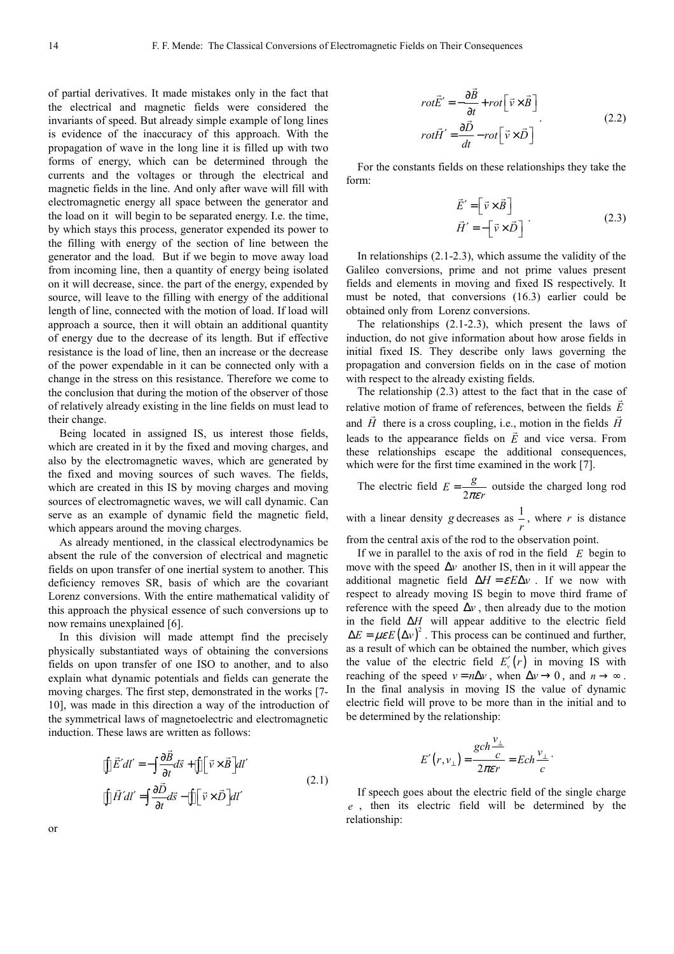of partial derivatives. It made mistakes only in the fact that the electrical and magnetic fields were considered the invariants of speed. But already simple example of long lines is evidence of the inaccuracy of this approach. With the propagation of wave in the long line it is filled up with two forms of energy, which can be determined through the currents and the voltages or through the electrical and magnetic fields in the line. And only after wave will fill with electromagnetic energy all space between the generator and the load on it will begin to be separated energy. I.e. the time, by which stays this process, generator expended its power to the filling with energy of the section of line between the generator and the load. But if we begin to move away load from incoming line, then a quantity of energy being isolated on it will decrease, since. the part of the energy, expended by source, will leave to the filling with energy of the additional length of line, connected with the motion of load. If load will approach a source, then it will obtain an additional quantity of energy due to the decrease of its length. But if effective resistance is the load of line, then an increase or the decrease of the power expendable in it can be connected only with a change in the stress on this resistance. Therefore we come to the conclusion that during the motion of the observer of those of relatively already existing in the line fields on must lead to their change.

Being located in assigned IS, us interest those fields, which are created in it by the fixed and moving charges, and also by the electromagnetic waves, which are generated by the fixed and moving sources of such waves. The fields, which are created in this IS by moving charges and moving sources of electromagnetic waves, we will call dynamic. Can serve as an example of dynamic field the magnetic field, which appears around the moving charges.

As already mentioned, in the classical electrodynamics be absent the rule of the conversion of electrical and magnetic fields on upon transfer of one inertial system to another. This deficiency removes SR, basis of which are the covariant Lorenz conversions. With the entire mathematical validity of this approach the physical essence of such conversions up to now remains unexplained [6].

In this division will made attempt find the precisely physically substantiated ways of obtaining the conversions fields on upon transfer of one ISO to another, and to also explain what dynamic potentials and fields can generate the moving charges. The first step, demonstrated in the works [7- 10], was made in this direction a way of the introduction of the symmetrical laws of magnetoelectric and electromagnetic induction. These laws are written as follows:

$$
\begin{aligned}\n\iiint \vec{E}' dl' &= -\int \frac{\partial \vec{B}}{\partial t} d\vec{s} + \iint \left[ \vec{v} \times \vec{B} \right] dl' \\
\iiint \vec{H}' dl' &= \int \frac{\partial \vec{D}}{\partial t} d\vec{s} - \iint \left[ \vec{v} \times \vec{D} \right] dl'\n\end{aligned}
$$
\n(2.1)

$$
rot\vec{E}' = -\frac{\partial \vec{B}}{\partial t} + rot \left[ \vec{v} \times \vec{B} \right]
$$
  

$$
rot\vec{H}' = \frac{\partial \vec{D}}{\partial t} - rot \left[ \vec{v} \times \vec{D} \right]
$$
 (2.2)

For the constants fields on these relationships they take the form:

$$
\vec{E}' = \begin{bmatrix} \vec{v} \times \vec{B} \end{bmatrix}
$$
  
\n
$$
\vec{H}' = -\begin{bmatrix} \vec{v} \times \vec{D} \end{bmatrix}
$$
 (2.3)

In relationships (2.1-2.3), which assume the validity of the Galileo conversions, prime and not prime values present fields and elements in moving and fixed IS respectively. It must be noted, that conversions (16.3) earlier could be obtained only from Lorenz conversions.

The relationships (2.1-2.3), which present the laws of induction, do not give information about how arose fields in initial fixed IS. They describe only laws governing the propagation and conversion fields on in the case of motion with respect to the already existing fields.

The relationship  $(2.3)$  attest to the fact that in the case of relative motion of frame of references, between the fields *E* and *H* there is a cross coupling, i.e., motion in the fields *H* leads to the appearance fields on *E* and vice versa. From these relationships escape the additional consequences, which were for the first time examined in the work [7].

The electric field  $E = \frac{1}{2}$  $E = \frac{g}{2\pi\epsilon r}$  outside the charged long rod

with a linear density *g* decreases as  $\frac{1}{r}$ , where *r* is distance from the central axis of the rod to the observation point.

If we in parallel to the axis of rod in the field *E* begin to move with the speed  $\Delta v$  another IS, then in it will appear the additional magnetic field  $\Delta H = \varepsilon E \Delta v$ . If we now with respect to already moving IS begin to move third frame of reference with the speed  $\Delta v$ , then already due to the motion in the field ∆*H* will appear additive to the electric field  $\Delta E = \mu \varepsilon E (\Delta v)^2$ . This process can be continued and further, as a result of which can be obtained the number, which gives the value of the electric field  $E'_r(r)$  in moving IS with reaching of the speed  $v = n\Delta v$ , when  $\Delta v \rightarrow 0$ , and  $n \rightarrow \infty$ . In the final analysis in moving IS the value of dynamic electric field will prove to be more than in the initial and to be determined by the relationship:

$$
E'(r, v_{\perp}) = \frac{gch \frac{v_{\perp}}{c}}{2\pi\epsilon r} = Ech \frac{v_{\perp}}{c}.
$$

If speech goes about the electric field of the single charge *e* , then its electric field will be determined by the relationship:

or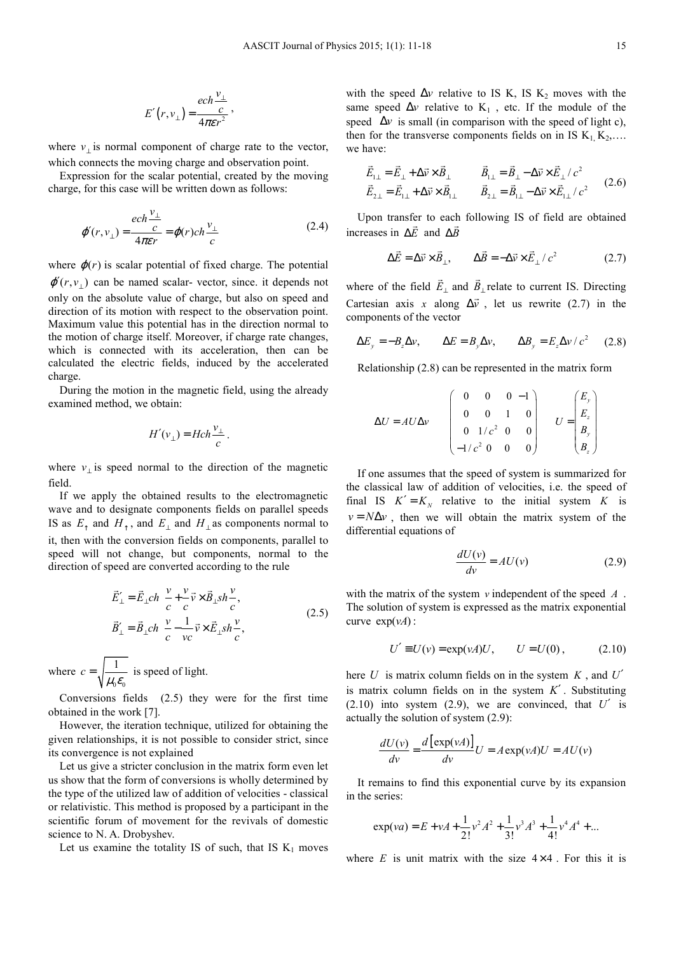$$
E'(r, v_{\perp}) = \frac{ech \frac{v_{\perp}}{c}}{4\pi \varepsilon r^2},
$$

where  $v_{\perp}$  is normal component of charge rate to the vector, which connects the moving charge and observation point.

Expression for the scalar potential, created by the moving charge, for this case will be written down as follows:

$$
\varphi'(r, v_{\perp}) = \frac{ech \frac{v_{\perp}}{c}}{4\pi\epsilon r} = \varphi(r) ch \frac{v_{\perp}}{c}
$$
 (2.4)

where  $\varphi(r)$  is scalar potential of fixed charge. The potential  $\varphi'(r, v_+)$  can be named scalar-vector, since. it depends not only on the absolute value of charge, but also on speed and direction of its motion with respect to the observation point. Maximum value this potential has in the direction normal to the motion of charge itself. Moreover, if charge rate changes, which is connected with its acceleration, then can be calculated the electric fields, induced by the accelerated charge.

During the motion in the magnetic field, using the already examined method, we obtain:

$$
H'(v_{\perp}) = Hch \frac{v_{\perp}}{c}.
$$

where  $v_{\perp}$  is speed normal to the direction of the magnetic field.

If we apply the obtained results to the electromagnetic wave and to designate components fields on parallel speeds IS as  $E_{\uparrow}$  and  $H_{\uparrow}$ , and  $E_{\perp}$  and  $H_{\perp}$  as components normal to it, then with the conversion fields on components, parallel to speed will not change, but components, normal to the direction of speed are converted according to the rule

$$
\vec{E}_{\perp}' = \vec{E}_{\perp} ch \frac{v}{c} + \frac{v}{c} \vec{v} \times \vec{B}_{\perp} sh \frac{v}{c},
$$
\n
$$
\vec{B}_{\perp}' = \vec{B}_{\perp} ch \frac{v}{c} - \frac{1}{vc} \vec{v} \times \vec{E}_{\perp} sh \frac{v}{c},
$$
\n(2.5)

where 
$$
c = \sqrt{\frac{1}{\mu_0 \varepsilon_0}}
$$
 is speed of light.

Conversions fields (2.5) they were for the first time obtained in the work [7].

However, the iteration technique, utilized for obtaining the given relationships, it is not possible to consider strict, since its convergence is not explained

Let us give a stricter conclusion in the matrix form even let us show that the form of conversions is wholly determined by the type of the utilized law of addition of velocities - classical or relativistic. This method is proposed by a participant in the scientific forum of movement for the revivals of domestic science to N. A. Drobyshev.

Let us examine the totality IS of such, that IS  $K_1$  moves

with the speed  $\Delta v$  relative to IS K, IS K<sub>2</sub> moves with the same speed  $\Delta v$  relative to K<sub>1</sub>, etc. If the module of the speed  $\Delta v$  is small (in comparison with the speed of light c), then for the transverse components fields on in IS  $K_1, K_2, \ldots$ we have:

$$
\vec{E}_{1\perp} = \vec{E}_{\perp} + \Delta \vec{v} \times \vec{B}_{\perp} \qquad \vec{B}_{1\perp} = \vec{B}_{\perp} - \Delta \vec{v} \times \vec{E}_{\perp} / c^2 \n\vec{E}_{2\perp} = \vec{E}_{1\perp} + \Delta \vec{v} \times \vec{B}_{1\perp} \qquad \vec{B}_{2\perp} = \vec{B}_{1\perp} - \Delta \vec{v} \times \vec{E}_{1\perp} / c^2
$$
\n(2.6)

Upon transfer to each following IS of field are obtained increases in ∆*E* and ∆*B*

$$
\Delta \vec{E} = \Delta \vec{v} \times \vec{B}_{\perp}, \qquad \Delta \vec{B} = -\Delta \vec{v} \times \vec{E}_{\perp} / c^2 \qquad (2.7)
$$

where of the field *E*<sup>⊥</sup>  $\overline{a}$ and  $B_{\perp}$  $\overline{a}$ relate to current IS. Directing Cartesian axis *x* along  $\Delta \vec{v}$ , let us rewrite (2.7) in the components of the vector

$$
\Delta E_y = -B_z \Delta v, \qquad \Delta E = B_y \Delta v, \qquad \Delta B_y = E_z \Delta v / c^2 \qquad (2.8)
$$

Relationship (2.8) can be represented in the matrix form

$$
\Delta U = A U \Delta v \qquad \begin{pmatrix} 0 & 0 & 0 & -1 \\ 0 & 0 & 1 & 0 \\ 0 & 1/c^2 & 0 & 0 \\ -1/c^2 & 0 & 0 & 0 \end{pmatrix} \qquad U = \begin{pmatrix} E_y \\ E_z \\ B_y \\ B_z \end{pmatrix}
$$

If one assumes that the speed of system is summarized for the classical law of addition of velocities, i.e. the speed of final IS  $K' = K_N$  relative to the initial system K is  $v = N \Delta v$ , then we will obtain the matrix system of the differential equations of

$$
\frac{dU(v)}{dv} = AU(v) \tag{2.9}
$$

with the matrix of the system *v* independent of the speed *A* . The solution of system is expressed as the matrix exponential curve  $exp(vA)$ :

$$
U' \equiv U(v) = \exp(\nu A)U, \qquad U = U(0), \tag{2.10}
$$

here *U* is matrix column fields on in the system *K* , and *U*′ is matrix column fields on in the system *K*′ . Substituting  $(2.10)$  into system  $(2.9)$ , we are convinced, that  $U'$  is actually the solution of system (2.9):

$$
\frac{dU(v)}{dv} = \frac{d\left[\exp(vA)\right]}{dv}U = A\exp(vA)U = AU(v)
$$

It remains to find this exponential curve by its expansion in the series:

$$
\exp(va) = E + vA + \frac{1}{2!}v^2A^2 + \frac{1}{3!}v^3A^3 + \frac{1}{4!}v^4A^4 + \dots
$$

where  $E$  is unit matrix with the size  $4 \times 4$ . For this it is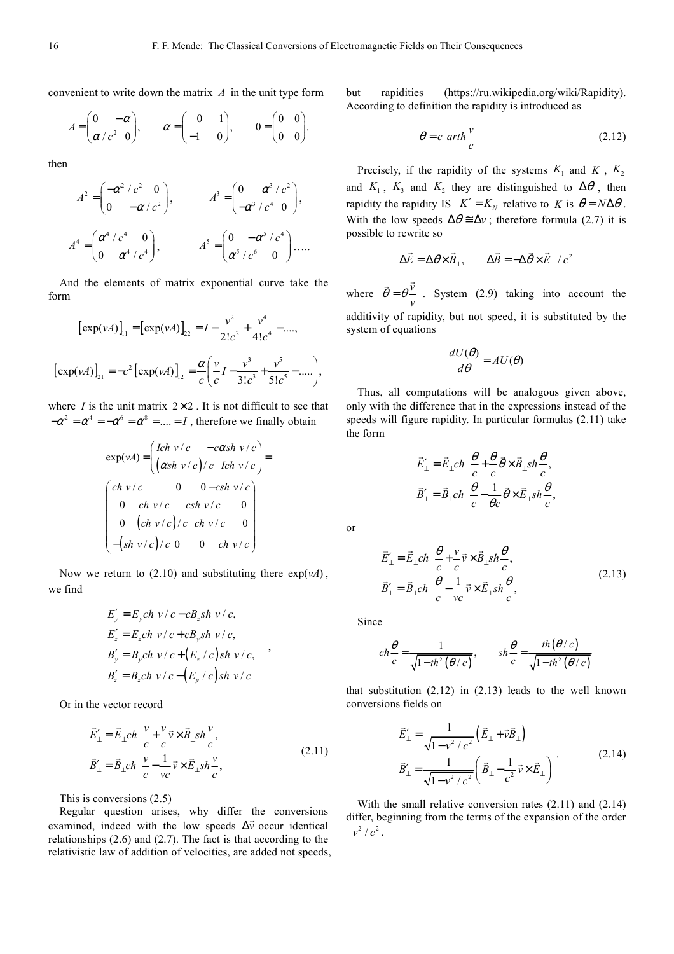convenient to write down the matrix *A* in the unit type form

$$
A = \begin{pmatrix} 0 & -\alpha \\ \alpha/c^2 & 0 \end{pmatrix}, \qquad \alpha = \begin{pmatrix} 0 & 1 \\ -1 & 0 \end{pmatrix}, \qquad 0 = \begin{pmatrix} 0 & 0 \\ 0 & 0 \end{pmatrix}.
$$

then

$$
A^{2} = \begin{pmatrix} -\alpha^{2} / c^{2} & 0 \\ 0 & -\alpha / c^{2} \end{pmatrix}, \qquad A^{3} = \begin{pmatrix} 0 & \alpha^{3} / c^{2} \\ -\alpha^{3} / c^{4} & 0 \end{pmatrix},
$$

$$
A^{4} = \begin{pmatrix} \alpha^{4} / c^{4} & 0 \\ 0 & \alpha^{4} / c^{4} \end{pmatrix}, \qquad A^{5} = \begin{pmatrix} 0 & -\alpha^{5} / c^{4} \\ \alpha^{5} / c^{6} & 0 \end{pmatrix} \dots
$$

And the elements of matrix exponential curve take the form

$$
[\exp(\nu A)]_{11} = [\exp(\nu A)]_{22} = I - \frac{\nu^2}{2!c^2} + \frac{\nu^4}{4!c^4} - \dots,
$$
  

$$
[\exp(\nu A)]_{21} = -c^2 [\exp(\nu A)]_{12} = \frac{\alpha}{c} \left( \frac{\nu}{c} I - \frac{\nu^3}{3!c^3} + \frac{\nu^5}{5!c^5} - \dots \right),
$$

where *I* is the unit matrix  $2 \times 2$ . It is not difficult to see that  $-\alpha^2 = \alpha^4 = -\alpha^6 = \alpha^8 = \dots = I$ , therefore we finally obtain

$$
\exp(\nu A) = \begin{pmatrix} Ich \ v/c & -c\alpha sh \ v/c \\ (\alpha sh \ v/c)/c & Ich \ v/c \end{pmatrix} =
$$
\n
$$
\begin{pmatrix} ch \ v/c & 0 & 0-csh \ v/c \\ 0 & ch \ v/c & csh \ v/c & 0 \\ 0 & (ch \ v/c)/c & ch \ v/c & 0 \\ -(sh \ v/c)/c & 0 & 0 & ch \ v/c \end{pmatrix}
$$

Now we return to  $(2.10)$  and substituting there  $exp(vA)$ , we find

$$
E'_{y} = E_{y}ch \ v/c - cB_{z}sh \ v/c,
$$
  
\n
$$
E'_{z} = E_{z}ch \ v/c + cB_{y}sh \ v/c,
$$
  
\n
$$
B'_{y} = B_{y}ch \ v/c + (E_{z}/c)sh \ v/c,
$$
  
\n
$$
B'_{z} = B_{z}ch \ v/c - (E_{y}/c)sh \ v/c
$$

Or in the vector record

$$
\vec{E}_{\perp}^{\prime} = \vec{E}_{\perp} ch \frac{v}{c} + \frac{v}{c} \vec{v} \times \vec{B}_{\perp} sh \frac{v}{c},
$$
\n
$$
\vec{B}_{\perp}^{\prime} = \vec{B}_{\perp} ch \frac{v}{c} - \frac{1}{vc} \vec{v} \times \vec{E}_{\perp} sh \frac{v}{c},
$$
\n(2.11)

This is conversions (2.5)

Regular question arises, why differ the conversions r examined, indeed with the low speeds  $\Delta \vec{v}$  occur identical relationships (2.6) and (2.7). The fact is that according to the relativistic law of addition of velocities, are added not speeds, but rapidities (https://ru.wikipedia.org/wiki/Rapidity). According to definition the rapidity is introduced as

$$
\theta = c \ arth \frac{v}{c} \tag{2.12}
$$

Precisely, if the rapidity of the systems  $K_1$  and  $K$ ,  $K_2$ and  $K_1$ ,  $K_3$  and  $K_2$  they are distinguished to  $\Delta\theta$ , then rapidity the rapidity IS  $K' = K_N$  relative to *K* is  $\theta = N\Delta\theta$ . With the low speeds  $\Delta \theta \approx \Delta v$ ; therefore formula (2.7) it is possible to rewrite so

$$
\Delta \vec{E} = \Delta \theta \times \vec{B}_{\perp}, \qquad \Delta \vec{B} = -\Delta \vec{\theta} \times \vec{E}_{\perp} / c^2
$$

where  $\vec{\theta} = \theta \frac{\vec{v}}{v}$  $\overline{v}$ . System (2.9) taking into account the additivity of rapidity, but not speed, it is substituted by the system of equations

$$
\frac{dU(\theta)}{d\theta} = AU(\theta)
$$

Thus, all computations will be analogous given above, only with the difference that in the expressions instead of the speeds will figure rapidity. In particular formulas (2.11) take the form

$$
\vec{E}'_{\perp} = \vec{E}_{\perp} ch \frac{\theta}{c} + \frac{\theta}{c} \vec{\theta} \times \vec{B}_{\perp} sh \frac{\theta}{c},
$$
\n
$$
\vec{B}'_{\perp} = \vec{B}_{\perp} ch \frac{\theta}{c} - \frac{1}{\theta c} \vec{\theta} \times \vec{E}_{\perp} sh \frac{\theta}{c}.
$$

or

$$
\vec{E}_{\perp}^{\prime} = \vec{E}_{\perp} ch \frac{\theta}{c} + \frac{v}{c} \vec{v} \times \vec{B}_{\perp} sh \frac{\theta}{c},
$$
\n
$$
\vec{B}_{\perp}^{\prime} = \vec{B}_{\perp} ch \frac{\theta}{c} - \frac{1}{vc} \vec{v} \times \vec{E}_{\perp} sh \frac{\theta}{c},
$$
\n(2.13)

,

Since

$$
ch\frac{\theta}{c} = \frac{1}{\sqrt{1 - th^2(\theta/c)}}, \qquad sh\frac{\theta}{c} = \frac{th(\theta/c)}{\sqrt{1 - th^2(\theta/c)}}
$$

that substitution  $(2.12)$  in  $(2.13)$  leads to the well known conversions fields on

$$
\vec{E}_{\perp}' = \frac{1}{\sqrt{1 - v^2/c^2}} \left( \vec{E}_{\perp} + \vec{v} \vec{B}_{\perp} \right)
$$
\n
$$
\vec{B}_{\perp}' = \frac{1}{\sqrt{1 - v^2/c^2}} \left( \vec{B}_{\perp} - \frac{1}{c^2} \vec{v} \times \vec{E}_{\perp} \right) \tag{2.14}
$$

With the small relative conversion rates (2.11) and (2.14) differ, beginning from the terms of the expansion of the order  $v^2/c^2$ .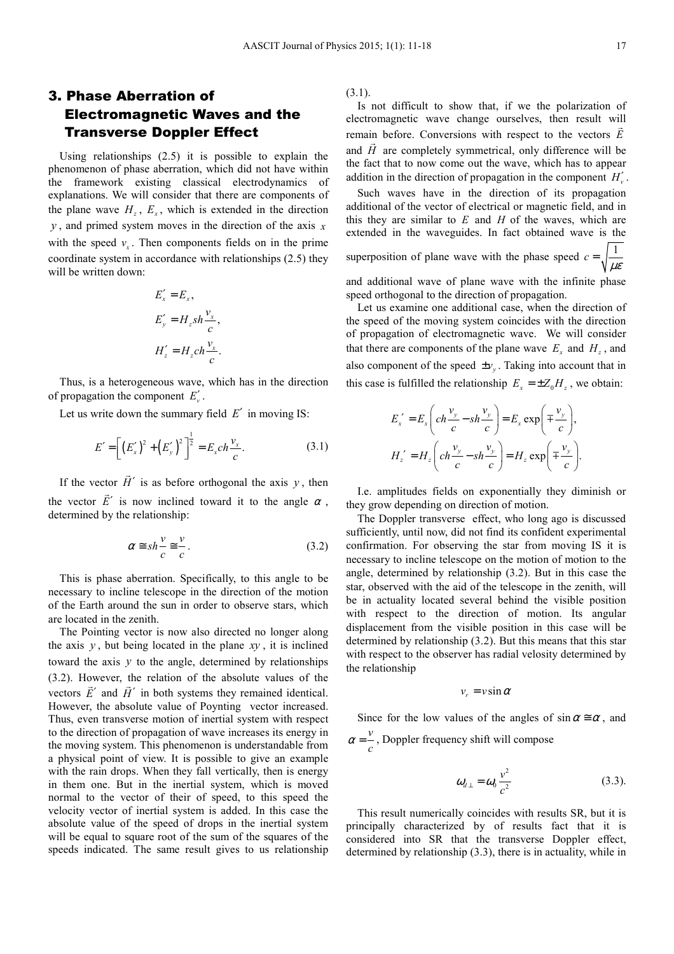# 3. Phase Aberration of Electromagnetic Waves and the Transverse Doppler Effect

Using relationships (2.5) it is possible to explain the phenomenon of phase aberration, which did not have within the framework existing classical electrodynamics of explanations. We will consider that there are components of the plane wave  $H_z$ ,  $E_x$ , which is extended in the direction *y* , and primed system moves in the direction of the axis *x* with the speed  $v<sub>x</sub>$ . Then components fields on in the prime coordinate system in accordance with relationships (2.5) they will be written down:

$$
E'_{x} = E_{x},
$$
  
\n
$$
E'_{y} = H_{z}sh \frac{v_{x}}{c},
$$
  
\n
$$
H'_{z} = H_{z}ch \frac{v_{x}}{c}.
$$

Thus, is a heterogeneous wave, which has in the direction of propagation the component  $E'_v$ .

Let us write down the summary field  $E'$  in moving IS:

$$
E' = \left[ \left( E_x' \right)^2 + \left( E_y' \right)^2 \right]^{\frac{1}{2}} = E_x ch \frac{v_x}{c}.
$$
 (3.1)

If the vector *H* ′  $\overline{a}$ for  $\hat{H}'$  is as before orthogonal the axis *y*, then the vector  $\vec{E}'$  is now inclined toward it to the angle  $\alpha$ , determined by the relationship:

$$
\alpha \cong sh \frac{v}{c} \cong \frac{v}{c} \,. \tag{3.2}
$$

This is phase aberration. Specifically, to this angle to be necessary to incline telescope in the direction of the motion of the Earth around the sun in order to observe stars, which are located in the zenith.

The Pointing vector is now also directed no longer along the axis  $y$ , but being located in the plane  $xy$ , it is inclined toward the axis  $y$  to the angle, determined by relationships  $(3.2)$ . However, the relation of the absolute values of the vectors  $\vec{E}'$  and  $\vec{H}'$  in both systems they remained identical. However, the absolute value of Poynting vector increased. Thus, even transverse motion of inertial system with respect to the direction of propagation of wave increases its energy in the moving system. This phenomenon is understandable from a physical point of view. It is possible to give an example with the rain drops. When they fall vertically, then is energy in them one. But in the inertial system, which is moved normal to the vector of their of speed, to this speed the velocity vector of inertial system is added. In this case the absolute value of the speed of drops in the inertial system will be equal to square root of the sum of the squares of the speeds indicated. The same result gives to us relationship

 $(3.1).$ 

Is not difficult to show that, if we the polarization of electromagnetic wave change ourselves, then result will remain before. Conversions with respect to the vectors *E* r and *H* are completely symmetrical, only difference will be the fact that to now come out the wave, which has to appear addition in the direction of propagation in the component  $H'_v$ .

Such waves have in the direction of its propagation additional of the vector of electrical or magnetic field, and in this they are similar to *E* and *H* of the waves, which are extended in the waveguides. In fact obtained wave is the

superposition of plane wave with the phase speed  $c = \sqrt{\frac{1}{\mu \varepsilon}}$ and additional wave of plane wave with the infinite phase

speed orthogonal to the direction of propagation. Let us examine one additional case, when the direction of the speed of the moving system coincides with the direction of propagation of electromagnetic wave. We will consider that there are components of the plane wave  $E_x$  and  $H_z$ , and also component of the speed  $\pm v_y$ . Taking into account that in this case is fulfilled the relationship  $E_x = \pm Z_0 H_z$ , we obtain:

$$
E_x' = E_x \left( ch \frac{v_y}{c} - sh \frac{v_y}{c} \right) = E_x \exp\left(\mp \frac{v_y}{c}\right),
$$
  

$$
H'_z = H_z \left( ch \frac{v_y}{c} - sh \frac{v_y}{c} \right) = H_z \exp\left(\mp \frac{v_y}{c}\right).
$$

I.e. amplitudes fields on exponentially they diminish or they grow depending on direction of motion.

The Doppler transverse effect, who long ago is discussed sufficiently, until now, did not find its confident experimental confirmation. For observing the star from moving IS it is necessary to incline telescope on the motion of motion to the angle, determined by relationship (3.2). But in this case the star, observed with the aid of the telescope in the zenith, will be in actuality located several behind the visible position with respect to the direction of motion. Its angular displacement from the visible position in this case will be determined by relationship (3.2). But this means that this star with respect to the observer has radial velosity determined by the relationship

$$
v_r = v \sin \alpha
$$

Since for the low values of the angles of sin  $\alpha \equiv \alpha$ , and *v*  $\alpha = \frac{v}{c}$ , Doppler frequency shift will compose

$$
\omega_{d\perp} = \omega_0 \frac{v^2}{c^2} \tag{3.3}
$$

This result numerically coincides with results SR, but it is principally characterized by of results fact that it is considered into SR that the transverse Doppler effect, determined by relationship (3.3), there is in actuality, while in